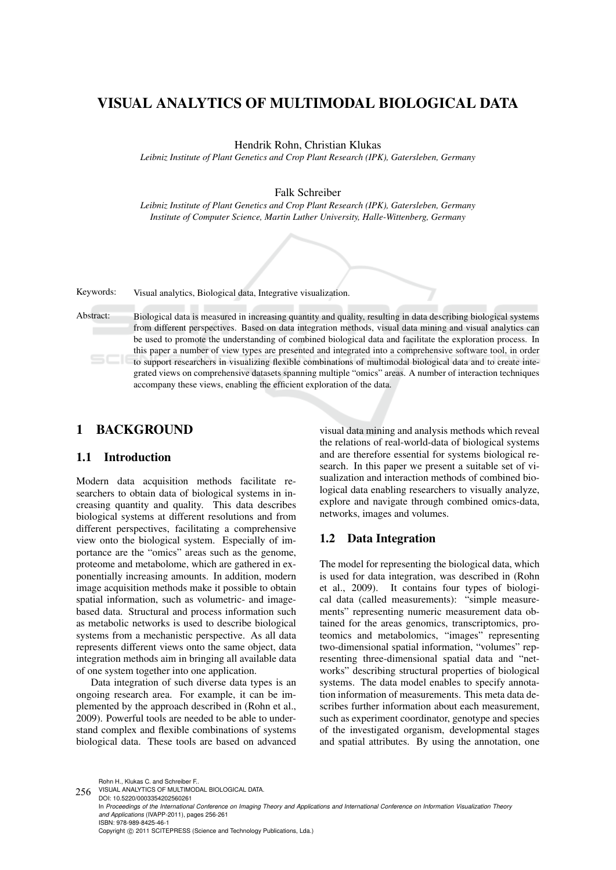# VISUAL ANALYTICS OF MULTIMODAL BIOLOGICAL DATA

Hendrik Rohn, Christian Klukas

*Leibniz Institute of Plant Genetics and Crop Plant Research (IPK), Gatersleben, Germany*

Falk Schreiber

*Leibniz Institute of Plant Genetics and Crop Plant Research (IPK), Gatersleben, Germany Institute of Computer Science, Martin Luther University, Halle-Wittenberg, Germany*

Keywords: Visual analytics, Biological data, Integrative visualization.

Abstract: Biological data is measured in increasing quantity and quality, resulting in data describing biological systems from different perspectives. Based on data integration methods, visual data mining and visual analytics can be used to promote the understanding of combined biological data and facilitate the exploration process. In this paper a number of view types are presented and integrated into a comprehensive software tool, in order to support researchers in visualizing flexible combinations of multimodal biological data and to create integrated views on comprehensive datasets spanning multiple "omics" areas. A number of interaction techniques accompany these views, enabling the efficient exploration of the data.

## 1 BACKGROUND

## 1.1 Introduction

Modern data acquisition methods facilitate researchers to obtain data of biological systems in increasing quantity and quality. This data describes biological systems at different resolutions and from different perspectives, facilitating a comprehensive view onto the biological system. Especially of importance are the "omics" areas such as the genome, proteome and metabolome, which are gathered in exponentially increasing amounts. In addition, modern image acquisition methods make it possible to obtain spatial information, such as volumetric- and imagebased data. Structural and process information such as metabolic networks is used to describe biological systems from a mechanistic perspective. As all data represents different views onto the same object, data integration methods aim in bringing all available data of one system together into one application.

Data integration of such diverse data types is an ongoing research area. For example, it can be implemented by the approach described in (Rohn et al., 2009). Powerful tools are needed to be able to understand complex and flexible combinations of systems biological data. These tools are based on advanced

visual data mining and analysis methods which reveal the relations of real-world-data of biological systems and are therefore essential for systems biological research. In this paper we present a suitable set of visualization and interaction methods of combined biological data enabling researchers to visually analyze, explore and navigate through combined omics-data, networks, images and volumes.

## 1.2 Data Integration

The model for representing the biological data, which is used for data integration, was described in (Rohn et al., 2009). It contains four types of biological data (called measurements): "simple measurements" representing numeric measurement data obtained for the areas genomics, transcriptomics, proteomics and metabolomics, "images" representing two-dimensional spatial information, "volumes" representing three-dimensional spatial data and "networks" describing structural properties of biological systems. The data model enables to specify annotation information of measurements. This meta data describes further information about each measurement, such as experiment coordinator, genotype and species of the investigated organism, developmental stages and spatial attributes. By using the annotation, one

Rohn H., Klukas C. and Schreiber F..

DOI: 10.5220/0003354202560261 In *Proceedings of the International Conference on Imaging Theory and Applications and International Conference on Information Visualization Theory and Applications* (IVAPP-2011), pages 256-261 ISBN: 978-989-8425-46-1 Copyright © 2011 SCITEPRESS (Science and Technology Publications, Lda.)

<sup>256</sup> VISUAL ANALYTICS OF MULTIMODAL BIOLOGICAL DATA.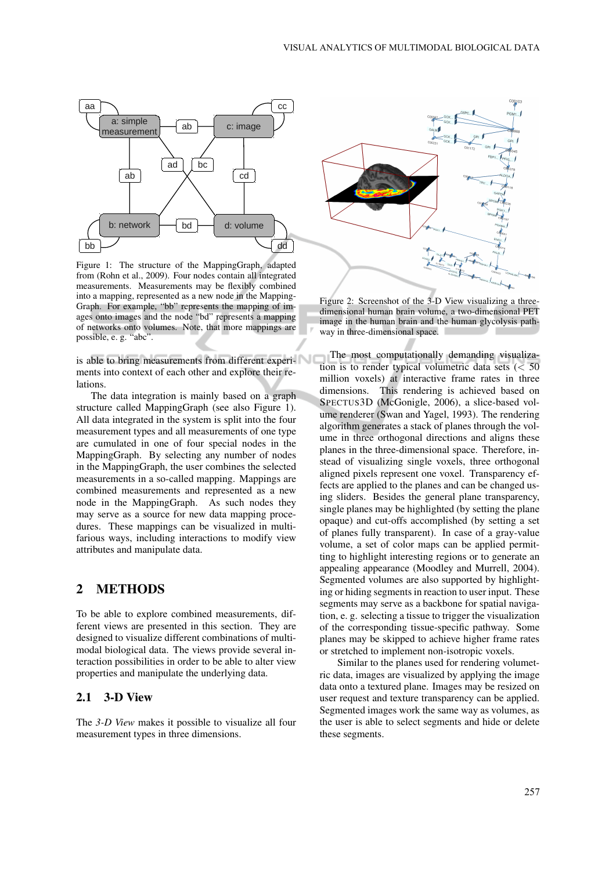

Figure 1: The structure of the MappingGraph, adapted from (Rohn et al., 2009). Four nodes contain all integrated measurements. Measurements may be flexibly combined into a mapping, represented as a new node in the Mapping-Graph. For example, "bb" represents the mapping of images onto images and the node "bd" represents a mapping of networks onto volumes. Note, that more mappings are possible, e. g. "abc".

is able to bring measurements from different experiments into context of each other and explore their relations.

The data integration is mainly based on a graph structure called MappingGraph (see also Figure 1). All data integrated in the system is split into the four measurement types and all measurements of one type are cumulated in one of four special nodes in the MappingGraph. By selecting any number of nodes in the MappingGraph, the user combines the selected measurements in a so-called mapping. Mappings are combined measurements and represented as a new node in the MappingGraph. As such nodes they may serve as a source for new data mapping procedures. These mappings can be visualized in multifarious ways, including interactions to modify view attributes and manipulate data.

## 2 METHODS

To be able to explore combined measurements, different views are presented in this section. They are designed to visualize different combinations of multimodal biological data. The views provide several interaction possibilities in order to be able to alter view properties and manipulate the underlying data.

#### 2.1 3-D View

The *3-D View* makes it possible to visualize all four measurement types in three dimensions.



Figure 2: Screenshot of the 3-D View visualizing a threedimensional human brain volume, a two-dimensional PET image in the human brain and the human glycolysis pathway in three-dimensional space.

The most computationally demanding visualization is to render typical volumetric data sets  $(< 50$ million voxels) at interactive frame rates in three dimensions. This rendering is achieved based on SPECTUS3D (McGonigle, 2006), a slice-based volume renderer (Swan and Yagel, 1993). The rendering algorithm generates a stack of planes through the volume in three orthogonal directions and aligns these planes in the three-dimensional space. Therefore, instead of visualizing single voxels, three orthogonal aligned pixels represent one voxel. Transparency effects are applied to the planes and can be changed using sliders. Besides the general plane transparency, single planes may be highlighted (by setting the plane opaque) and cut-offs accomplished (by setting a set of planes fully transparent). In case of a gray-value volume, a set of color maps can be applied permitting to highlight interesting regions or to generate an appealing appearance (Moodley and Murrell, 2004). Segmented volumes are also supported by highlighting or hiding segments in reaction to user input. These segments may serve as a backbone for spatial navigation, e. g. selecting a tissue to trigger the visualization of the corresponding tissue-specific pathway. Some planes may be skipped to achieve higher frame rates or stretched to implement non-isotropic voxels.

Similar to the planes used for rendering volumetric data, images are visualized by applying the image data onto a textured plane. Images may be resized on user request and texture transparency can be applied. Segmented images work the same way as volumes, as the user is able to select segments and hide or delete these segments.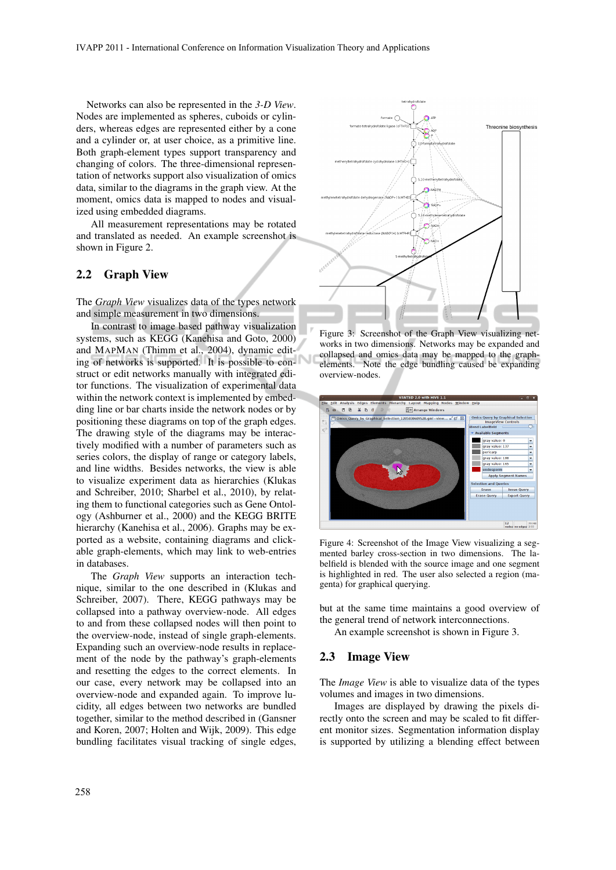Networks can also be represented in the *3-D View*. Nodes are implemented as spheres, cuboids or cylinders, whereas edges are represented either by a cone and a cylinder or, at user choice, as a primitive line. Both graph-element types support transparency and changing of colors. The three-dimensional representation of networks support also visualization of omics data, similar to the diagrams in the graph view. At the moment, omics data is mapped to nodes and visualized using embedded diagrams.

All measurement representations may be rotated and translated as needed. An example screenshot is shown in Figure 2.

#### 2.2 Graph View

The *Graph View* visualizes data of the types network and simple measurement in two dimensions.

In contrast to image based pathway visualization systems, such as KEGG (Kanehisa and Goto, 2000) and MAPMAN (Thimm et al., 2004), dynamic editing of networks is supported. It is possible to construct or edit networks manually with integrated editor functions. The visualization of experimental data within the network context is implemented by embedding line or bar charts inside the network nodes or by positioning these diagrams on top of the graph edges. The drawing style of the diagrams may be interactively modified with a number of parameters such as series colors, the display of range or category labels, and line widths. Besides networks, the view is able to visualize experiment data as hierarchies (Klukas and Schreiber, 2010; Sharbel et al., 2010), by relating them to functional categories such as Gene Ontology (Ashburner et al., 2000) and the KEGG BRITE hierarchy (Kanehisa et al., 2006). Graphs may be exported as a website, containing diagrams and clickable graph-elements, which may link to web-entries in databases.

The *Graph View* supports an interaction technique, similar to the one described in (Klukas and Schreiber, 2007). There, KEGG pathways may be collapsed into a pathway overview-node. All edges to and from these collapsed nodes will then point to the overview-node, instead of single graph-elements. Expanding such an overview-node results in replacement of the node by the pathway's graph-elements and resetting the edges to the correct elements. In our case, every network may be collapsed into an overview-node and expanded again. To improve lucidity, all edges between two networks are bundled together, similar to the method described in (Gansner and Koren, 2007; Holten and Wijk, 2009). This edge bundling facilitates visual tracking of single edges,



Figure 3: Screenshot of the Graph View visualizing networks in two dimensions. Networks may be expanded and collapsed and omics data may be mapped to the graphelements. Note the edge bundling caused be expanding overview-nodes.



Figure 4: Screenshot of the Image View visualizing a segmented barley cross-section in two dimensions. The labelfield is blended with the source image and one segment is highlighted in red. The user also selected a region (magenta) for graphical querying.

but at the same time maintains a good overview of the general trend of network interconnections.

An example screenshot is shown in Figure 3.

#### 2.3 Image View

The *Image View* is able to visualize data of the types volumes and images in two dimensions.

Images are displayed by drawing the pixels directly onto the screen and may be scaled to fit different monitor sizes. Segmentation information display is supported by utilizing a blending effect between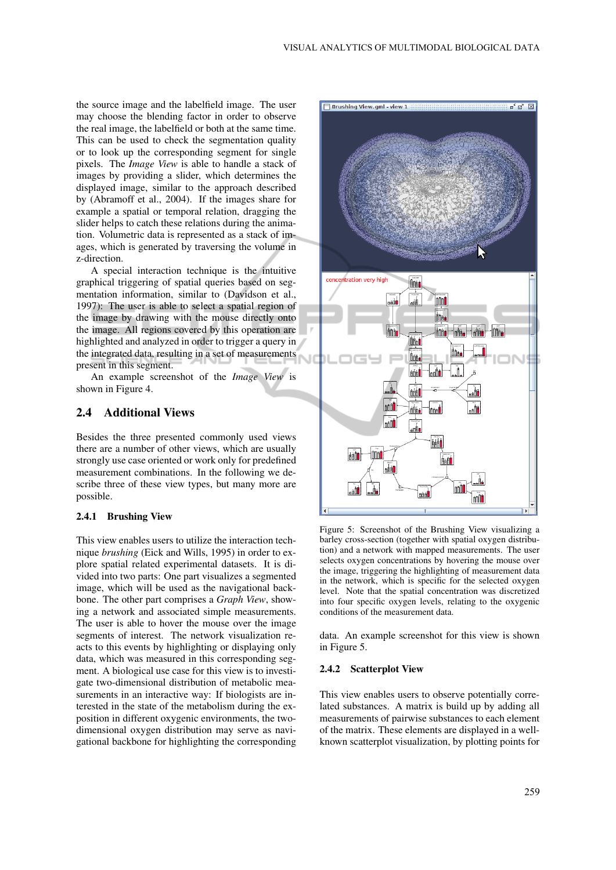the source image and the labelfield image. The user may choose the blending factor in order to observe the real image, the labelfield or both at the same time. This can be used to check the segmentation quality or to look up the corresponding segment for single pixels. The *Image View* is able to handle a stack of images by providing a slider, which determines the displayed image, similar to the approach described by (Abramoff et al., 2004). If the images share for example a spatial or temporal relation, dragging the slider helps to catch these relations during the animation. Volumetric data is represented as a stack of images, which is generated by traversing the volume in z-direction.

A special interaction technique is the intuitive graphical triggering of spatial queries based on segmentation information, similar to (Davidson et al., 1997): The user is able to select a spatial region of the image by drawing with the mouse directly onto the image. All regions covered by this operation are highlighted and analyzed in order to trigger a query in the integrated data, resulting in a set of measurements present in this segment.

An example screenshot of the *Image View* is shown in Figure 4.

### 2.4 Additional Views

Besides the three presented commonly used views there are a number of other views, which are usually strongly use case oriented or work only for predefined measurement combinations. In the following we describe three of these view types, but many more are possible.

#### 2.4.1 Brushing View

This view enables users to utilize the interaction technique *brushing* (Eick and Wills, 1995) in order to explore spatial related experimental datasets. It is divided into two parts: One part visualizes a segmented image, which will be used as the navigational backbone. The other part comprises a *Graph View*, showing a network and associated simple measurements. The user is able to hover the mouse over the image segments of interest. The network visualization reacts to this events by highlighting or displaying only data, which was measured in this corresponding segment. A biological use case for this view is to investigate two-dimensional distribution of metabolic measurements in an interactive way: If biologists are interested in the state of the metabolism during the exposition in different oxygenic environments, the twodimensional oxygen distribution may serve as navigational backbone for highlighting the corresponding



Figure 5: Screenshot of the Brushing View visualizing a barley cross-section (together with spatial oxygen distribution) and a network with mapped measurements. The user selects oxygen concentrations by hovering the mouse over the image, triggering the highlighting of measurement data in the network, which is specific for the selected oxygen level. Note that the spatial concentration was discretized into four specific oxygen levels, relating to the oxygenic conditions of the measurement data.

data. An example screenshot for this view is shown in Figure 5.

#### 2.4.2 Scatterplot View

This view enables users to observe potentially correlated substances. A matrix is build up by adding all measurements of pairwise substances to each element of the matrix. These elements are displayed in a wellknown scatterplot visualization, by plotting points for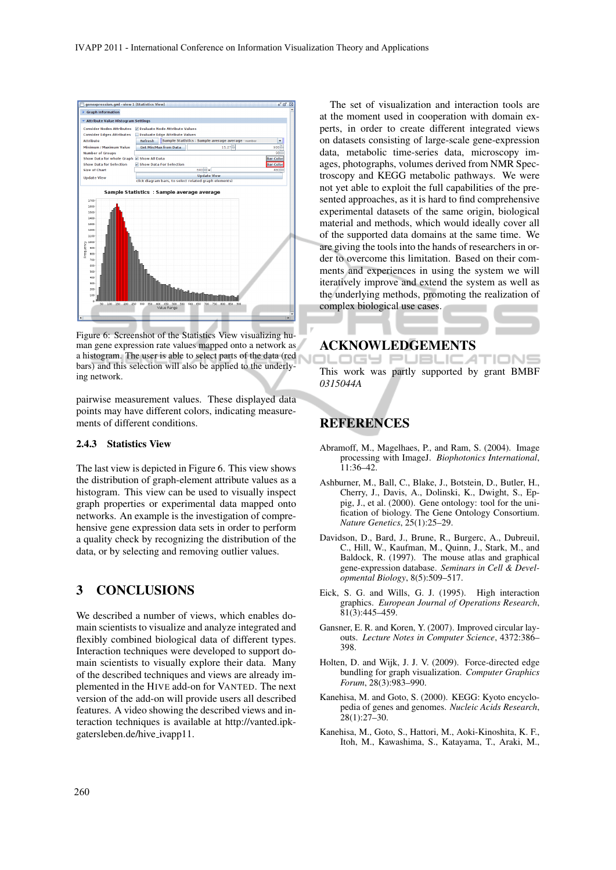

Figure 6: Screenshot of the Statistics View visualizing human gene expression rate values mapped onto a network as a histogram. The user is able to select parts of the data (red bars) and this selection will also be applied to the underlying network.

pairwise measurement values. These displayed data points may have different colors, indicating measurements of different conditions.

#### 2.4.3 Statistics View

The last view is depicted in Figure 6. This view shows the distribution of graph-element attribute values as a histogram. This view can be used to visually inspect graph properties or experimental data mapped onto networks. An example is the investigation of comprehensive gene expression data sets in order to perform a quality check by recognizing the distribution of the data, or by selecting and removing outlier values.

## 3 CONCLUSIONS

We described a number of views, which enables domain scientists to visualize and analyze integrated and flexibly combined biological data of different types. Interaction techniques were developed to support domain scientists to visually explore their data. Many of the described techniques and views are already implemented in the HIVE add-on for VANTED. The next version of the add-on will provide users all described features. A video showing the described views and interaction techniques is available at http://vanted.ipkgatersleben.de/hive ivapp11.

The set of visualization and interaction tools are at the moment used in cooperation with domain experts, in order to create different integrated views on datasets consisting of large-scale gene-expression data, metabolic time-series data, microscopy images, photographs, volumes derived from NMR Spectroscopy and KEGG metabolic pathways. We were not yet able to exploit the full capabilities of the presented approaches, as it is hard to find comprehensive experimental datasets of the same origin, biological material and methods, which would ideally cover all of the supported data domains at the same time. We are giving the tools into the hands of researchers in order to overcome this limitation. Based on their comments and experiences in using the system we will iteratively improve and extend the system as well as the underlying methods, promoting the realization of complex biological use cases.

# ACKNOWLEDGEMENTS<br>JLLUGH PUBLIC ATIONS

This work was partly supported by grant BMBF *0315044A*

## **REFERENCES**

- Abramoff, M., Magelhaes, P., and Ram, S. (2004). Image processing with ImageJ. *Biophotonics International*, 11:36–42.
- Ashburner, M., Ball, C., Blake, J., Botstein, D., Butler, H., Cherry, J., Davis, A., Dolinski, K., Dwight, S., Eppig, J., et al. (2000). Gene ontology: tool for the unification of biology. The Gene Ontology Consortium. *Nature Genetics*, 25(1):25–29.
- Davidson, D., Bard, J., Brune, R., Burgerc, A., Dubreuil, C., Hill, W., Kaufman, M., Quinn, J., Stark, M., and Baldock, R. (1997). The mouse atlas and graphical gene-expression database. *Seminars in Cell & Developmental Biology*, 8(5):509–517.
- Eick, S. G. and Wills, G. J. (1995). High interaction graphics. *European Journal of Operations Research*, 81(3):445–459.
- Gansner, E. R. and Koren, Y. (2007). Improved circular layouts. *Lecture Notes in Computer Science*, 4372:386– 398.
- Holten, D. and Wijk, J. J. V. (2009). Force-directed edge bundling for graph visualization. *Computer Graphics Forum*, 28(3):983–990.
- Kanehisa, M. and Goto, S. (2000). KEGG: Kyoto encyclopedia of genes and genomes. *Nucleic Acids Research*, 28(1):27–30.
- Kanehisa, M., Goto, S., Hattori, M., Aoki-Kinoshita, K. F., Itoh, M., Kawashima, S., Katayama, T., Araki, M.,